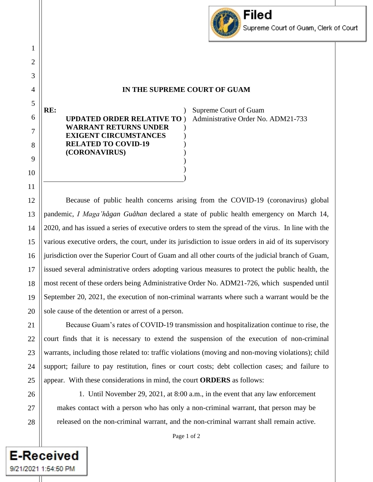

## **IN THE SUPREME COURT OF GUAM**

**UPDATED ORDER RELATIVE TO**  ) **WARRANT RETURNS UNDER EXIGENT CIRCUMSTANCES RELATED TO COVID-19 (CORONAVIRUS)** ) ) ) ) ) )

Supreme Court of Guam Administrative Order No. ADM21-733

Because of public health concerns arising from the COVID-19 (coronavirus) global pandemic, *I Maga'hågan Guåhan* declared a state of public health emergency on March 14, 2020, and has issued a series of executive orders to stem the spread of the virus. In line with the various executive orders, the court, under its jurisdiction to issue orders in aid of its supervisory jurisdiction over the Superior Court of Guam and all other courts of the judicial branch of Guam, issued several administrative orders adopting various measures to protect the public health, the most recent of these orders being Administrative Order No. ADM21-726, which suspended until September 20, 2021, the execution of non-criminal warrants where such a warrant would be the sole cause of the detention or arrest of a person.

) )

Because Guam's rates of COVID-19 transmission and hospitalization continue to rise, the court finds that it is necessary to extend the suspension of the execution of non-criminal warrants, including those related to: traffic violations (moving and non-moving violations); child support; failure to pay restitution, fines or court costs; debt collection cases; and failure to appear. With these considerations in mind, the court **ORDERS** as follows:

**E-Received** 

9/21/2021 1:54:50 PM

1

2

3

4

5

**RE:**

6

7

8

9

10

11

12

13

14

15

16

17

18

19

20

21

22

23

1. Until November 29, 2021, at 8:00 a.m., in the event that any law enforcement makes contact with a person who has only a non-criminal warrant, that person may be released on the non-criminal warrant, and the non-criminal warrant shall remain active.

Page 1 of 2